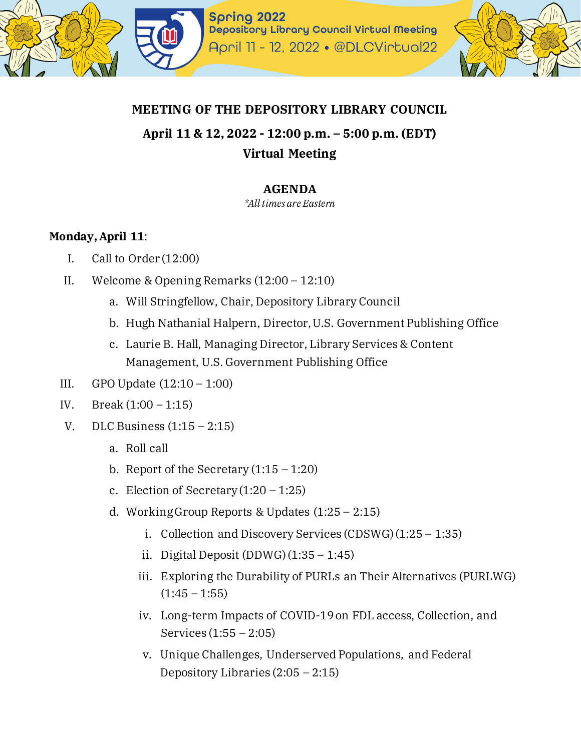

## **MEETING OF THE DEPOSITORY LIBRARY COUNCIL**

# **April 11 & 12, 2022 - 12:00 p.m. – 5:00 p.m. (EDT) Virtual Meeting**

## **AGENDA**

*\*All times are Eastern*

#### **Monday, April 11**:

- I. Call to Order (12:00)
- II. Welcome & Opening Remarks (12:00 12:10)
	- a. Will Stringfellow, Chair, Depository Library Council
	- b. Hugh Nathanial Halpern, Director, U.S. Government Publishing Office
	- c. Laurie B. Hall, Managing Director, Library Services & Content Management, U.S. Government Publishing Office
- III. GPO Update (12:10 1:00)
- IV. Break (1:00 1:15)
- V. DLC Business  $(1:15 2:15)$ 
	- a. Roll call
	- b. Report of the Secretary  $(1:15 1:20)$
	- c. Election of Secretary $(1:20 1:25)$
	- d. Working Group Reports & Updates (1:25 2:15)
		- i. Collection and Discovery Services (CDSWG)(1:25 1:35)
		- ii. Digital Deposit  $(DDWG)(1:35 1:45)$
		- iii. Exploring the Durability of PURLs an Their Alternatives (PURLWG)  $(1:45 - 1:55)$
		- iv. Long-term Impacts of COVID-19 on FDL access, Collection, and Services (1:55 – 2:05)
		- v. Unique Challenges, Underserved Populations, and Federal Depository Libraries  $(2:05 - 2:15)$